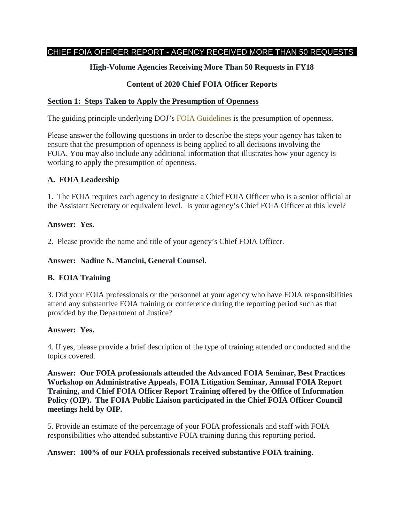## CHIEF FOIA OFFICER REPORT - AGENCY RECEIVED MORE THAN 50 REQUESTS

# **High-Volume Agencies Receiving More Than 50 Requests in FY18**

# **Content of 2020 Chief FOIA Officer Reports**

### **Section 1: Steps Taken to Apply the Presumption of Openness**

The guiding principle underlying DOJ's [FOIA Guidelines](http://justice.gov/ag/foia-memo-march2009.pdf) is the presumption of openness.

Please answer the following questions in order to describe the steps your agency has taken to ensure that the presumption of openness is being applied to all decisions involving the FOIA. You may also include any additional information that illustrates how your agency is working to apply the presumption of openness.

### **A. FOIA Leadership**

1. The FOIA requires each agency to designate a Chief FOIA Officer who is a senior official at the Assistant Secretary or equivalent level. Is your agency's Chief FOIA Officer at this level?

#### **Answer: Yes.**

2. Please provide the name and title of your agency's Chief FOIA Officer.

### **Answer: Nadine N. Mancini, General Counsel.**

## **B. FOIA Training**

3. Did your FOIA professionals or the personnel at your agency who have FOIA responsibilities attend any substantive FOIA training or conference during the reporting period such as that provided by the Department of Justice?

#### **Answer: Yes.**

4. If yes, please provide a brief description of the type of training attended or conducted and the topics covered.

**Answer: Our FOIA professionals attended the Advanced FOIA Seminar, Best Practices Workshop on Administrative Appeals, FOIA Litigation Seminar, Annual FOIA Report Training, and Chief FOIA Officer Report Training offered by the Office of Information Policy (OIP). The FOIA Public Liaison participated in the Chief FOIA Officer Council meetings held by OIP.**

5. Provide an estimate of the percentage of your FOIA professionals and staff with FOIA responsibilities who attended substantive FOIA training during this reporting period.

#### **Answer: 100% of our FOIA professionals received substantive FOIA training.**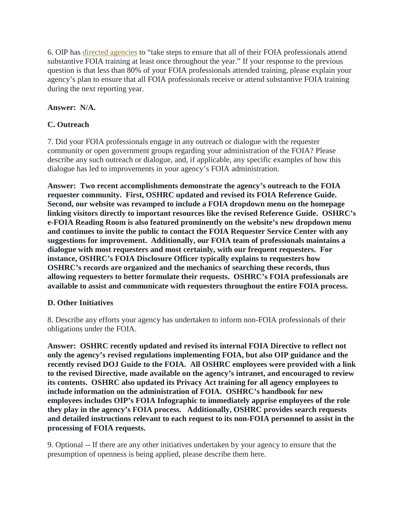6. OIP has [directed agencies](https://www.justice.gov/oip/oip-guidance-9) to "take steps to ensure that all of their FOIA professionals attend substantive FOIA training at least once throughout the year." If your response to the previous question is that less than 80% of your FOIA professionals attended training, please explain your agency's plan to ensure that all FOIA professionals receive or attend substantive FOIA training during the next reporting year.

# **Answer: N/A.**

# **C. Outreach**

7. Did your FOIA professionals engage in any outreach or dialogue with the requester community or open government groups regarding your administration of the FOIA? Please describe any such outreach or dialogue, and, if applicable, any specific examples of how this dialogue has led to improvements in your agency's FOIA administration.

**Answer: Two recent accomplishments demonstrate the agency's outreach to the FOIA requester community. First, OSHRC updated and revised its FOIA Reference Guide. Second, our website was revamped to include a FOIA dropdown menu on the homepage linking visitors directly to important resources like the revised Reference Guide. OSHRC's e-FOIA Reading Room is also featured prominently on the website's new dropdown menu and continues to invite the public to contact the FOIA Requester Service Center with any suggestions for improvement. Additionally, our FOIA team of professionals maintains a dialogue with most requesters and most certainly, with our frequent requesters. For instance, OSHRC's FOIA Disclosure Officer typically explains to requesters how OSHRC's records are organized and the mechanics of searching these records, thus allowing requesters to better formulate their requests. OSHRC's FOIA professionals are available to assist and communicate with requesters throughout the entire FOIA process.** 

## **D. Other Initiatives**

8. Describe any efforts your agency has undertaken to inform non-FOIA professionals of their obligations under the FOIA.

**Answer: OSHRC recently updated and revised its internal FOIA Directive to reflect not only the agency's revised regulations implementing FOIA, but also OIP guidance and the recently revised DOJ Guide to the FOIA. All OSHRC employees were provided with a link to the revised Directive, made available on the agency's intranet, and encouraged to review its contents. OSHRC also updated its Privacy Act training for all agency employees to include information on the administration of FOIA. OSHRC's handbook for new employees includes OIP's FOIA Infographic to immediately apprise employees of the role they play in the agency's FOIA process. Additionally, OSHRC provides search requests and detailed instructions relevant to each request to its non-FOIA personnel to assist in the processing of FOIA requests.** 

9. Optional -- If there are any other initiatives undertaken by your agency to ensure that the presumption of openness is being applied, please describe them here.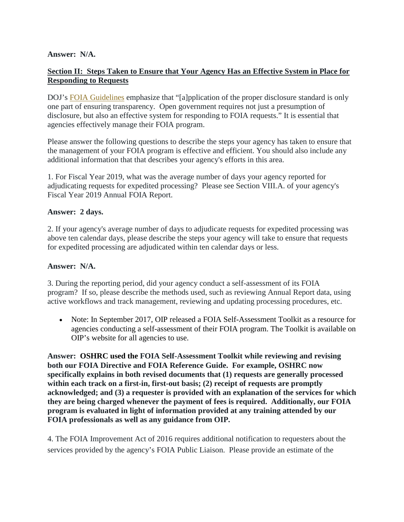### **Answer: N/A.**

## **Section II: Steps Taken to Ensure that Your Agency Has an Effective System in Place for Responding to Requests**

DOJ's **[FOIA Guidelines](http://justice.gov/ag/foia-memo-march2009.pdf)** emphasize that "[a]pplication of the proper disclosure standard is only one part of ensuring transparency. Open government requires not just a presumption of disclosure, but also an effective system for responding to FOIA requests." It is essential that agencies effectively manage their FOIA program.

Please answer the following questions to describe the steps your agency has taken to ensure that the management of your FOIA program is effective and efficient. You should also include any additional information that that describes your agency's efforts in this area.

1. For Fiscal Year 2019, what was the average number of days your agency reported for adjudicating requests for expedited processing? Please see Section VIII.A. of your agency's Fiscal Year 2019 Annual FOIA Report.

### **Answer: 2 days.**

2. If your agency's average number of days to adjudicate requests for expedited processing was above ten calendar days, please describe the steps your agency will take to ensure that requests for expedited processing are adjudicated within ten calendar days or less.

#### **Answer: N/A.**

3. During the reporting period, did your agency conduct a self-assessment of its FOIA program? If so, please describe the methods used, such as reviewing Annual Report data, using active workflows and track management, reviewing and updating processing procedures, etc.

• Note: In September 2017, OIP released a FOIA Self-Assessment Toolkit as a resource for agencies conducting a self-assessment of their FOIA program. The Toolkit is available on OIP's website for all agencies to use.

**Answer: OSHRC used the FOIA Self-Assessment Toolkit while reviewing and revising both our FOIA Directive and FOIA Reference Guide. For example, OSHRC now specifically explains in both revised documents that (1) requests are generally processed within each track on a first-in, first-out basis; (2) receipt of requests are promptly acknowledged; and (3) a requester is provided with an explanation of the services for which they are being charged whenever the payment of fees is required. Additionally, our FOIA program is evaluated in light of information provided at any training attended by our FOIA professionals as well as any guidance from OIP.** 

4. The FOIA Improvement Act of 2016 requires additional notification to requesters about the services provided by the agency's FOIA Public Liaison. Please provide an estimate of the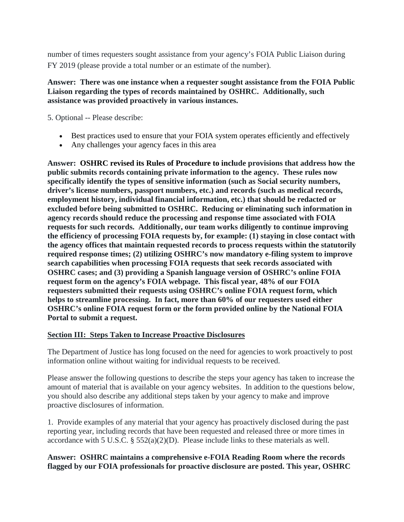number of times requesters sought assistance from your agency's FOIA Public Liaison during FY 2019 (please provide a total number or an estimate of the number).

### **Answer: There was one instance when a requester sought assistance from the FOIA Public Liaison regarding the types of records maintained by OSHRC. Additionally, such assistance was provided proactively in various instances.**

5. Optional -- Please describe:

- Best practices used to ensure that your FOIA system operates efficiently and effectively
- Any challenges your agency faces in this area

**Answer: OSHRC revised its Rules of Procedure to include provisions that address how the public submits records containing private information to the agency. These rules now specifically identify the types of sensitive information (such as Social security numbers, driver's license numbers, passport numbers, etc.) and records (such as medical records, employment history, individual financial information, etc.) that should be redacted or excluded before being submitted to OSHRC. Reducing or eliminating such information in agency records should reduce the processing and response time associated with FOIA requests for such records. Additionally, our team works diligently to continue improving the efficiency of processing FOIA requests by, for example: (1) staying in close contact with the agency offices that maintain requested records to process requests within the statutorily required response times; (2) utilizing OSHRC's now mandatory e-filing system to improve search capabilities when processing FOIA requests that seek records associated with OSHRC cases; and (3) providing a Spanish language version of OSHRC's online FOIA request form on the agency's FOIA webpage. This fiscal year, 48% of our FOIA requesters submitted their requests using OSHRC's online FOIA request form, which helps to streamline processing. In fact, more than 60% of our requesters used either OSHRC's online FOIA request form or the form provided online by the National FOIA Portal to submit a request.** 

## **Section III: Steps Taken to Increase Proactive Disclosures**

The Department of Justice has long focused on the need for agencies to work proactively to post information online without waiting for individual requests to be received.

Please answer the following questions to describe the steps your agency has taken to increase the amount of material that is available on your agency websites. In addition to the questions below, you should also describe any additional steps taken by your agency to make and improve proactive disclosures of information.

1. Provide examples of any material that your agency has proactively disclosed during the past reporting year, including records that have been requested and released three or more times in accordance with 5 U.S.C.  $\S$  552(a)(2)(D). Please include links to these materials as well.

## **Answer: OSHRC maintains a comprehensive e-FOIA Reading Room where the records flagged by our FOIA professionals for proactive disclosure are posted. This year, OSHRC**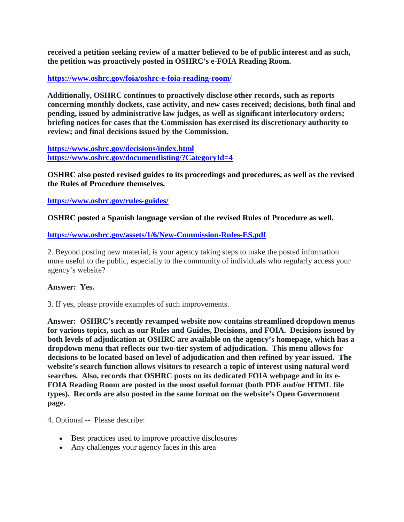**received a petition seeking review of a matter believed to be of public interest and as such, the petition was proactively posted in OSHRC's e-FOIA Reading Room.** 

### **<https://www.oshrc.gov/foia/oshrc-e-foia-reading-room/>**

**Additionally, OSHRC continues to proactively disclose other records, such as reports concerning monthly dockets, case activity, and new cases received; decisions, both final and pending, issued by administrative law judges, as well as significant interlocutory orders; briefing notices for cases that the Commission has exercised its discretionary authority to review; and final decisions issued by the Commission.** 

**<https://www.oshrc.gov/decisions/index.html> <https://www.oshrc.gov/documentlisting/?CategoryId=4>**

**OSHRC also posted revised guides to its proceedings and procedures, as well as the revised the Rules of Procedure themselves.** 

**<https://www.oshrc.gov/rules-guides/>**

#### **OSHRC posted a Spanish language version of the revised Rules of Procedure as well.**

#### **<https://www.oshrc.gov/assets/1/6/New-Commission-Rules-ES.pdf>**

2. Beyond posting new material, is your agency taking steps to make the posted information more useful to the public, especially to the community of individuals who regularly access your agency's website?

#### **Answer: Yes.**

3. If yes, please provide examples of such improvements.

**Answer: OSHRC's recently revamped website now contains streamlined dropdown menus for various topics, such as our Rules and Guides, Decisions, and FOIA. Decisions issued by both levels of adjudication at OSHRC are available on the agency's homepage, which has a dropdown menu that reflects our two-tier system of adjudication. This menu allows for decisions to be located based on level of adjudication and then refined by year issued. The website's search function allows visitors to research a topic of interest using natural word searches. Also, records that OSHRC posts on its dedicated FOIA webpage and in its e-FOIA Reading Room are posted in the most useful format (both PDF and/or HTML file types). Records are also posted in the same format on the website's Open Government page.** 

4. Optional -- Please describe:

- Best practices used to improve proactive disclosures
- Any challenges your agency faces in this area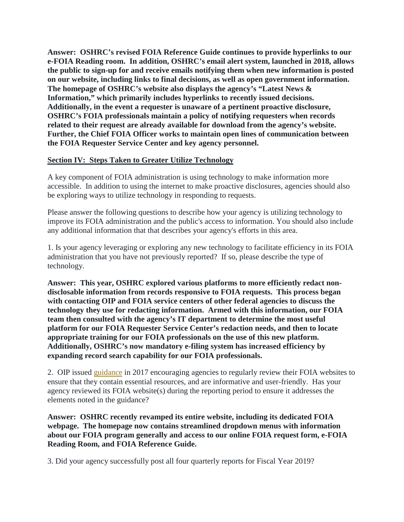**Answer: OSHRC's revised FOIA Reference Guide continues to provide hyperlinks to our e-FOIA Reading room. In addition, OSHRC's email alert system, launched in 2018, allows the public to sign-up for and receive emails notifying them when new information is posted on our website, including links to final decisions, as well as open government information. The homepage of OSHRC's website also displays the agency's "Latest News & Information," which primarily includes hyperlinks to recently issued decisions. Additionally, in the event a requester is unaware of a pertinent proactive disclosure, OSHRC's FOIA professionals maintain a policy of notifying requesters when records related to their request are already available for download from the agency's website. Further, the Chief FOIA Officer works to maintain open lines of communication between the FOIA Requester Service Center and key agency personnel.** 

## **Section IV: Steps Taken to Greater Utilize Technology**

A key component of FOIA administration is using technology to make information more accessible. In addition to using the internet to make proactive disclosures, agencies should also be exploring ways to utilize technology in responding to requests.

Please answer the following questions to describe how your agency is utilizing technology to improve its FOIA administration and the public's access to information. You should also include any additional information that that describes your agency's efforts in this area.

1. Is your agency leveraging or exploring any new technology to facilitate efficiency in its FOIA administration that you have not previously reported? If so, please describe the type of technology.

**Answer: This year, OSHRC explored various platforms to more efficiently redact nondisclosable information from records responsive to FOIA requests. This process began with contacting OIP and FOIA service centers of other federal agencies to discuss the technology they use for redacting information. Armed with this information, our FOIA team then consulted with the agency's IT department to determine the most useful platform for our FOIA Requester Service Center's redaction needs, and then to locate appropriate training for our FOIA professionals on the use of this new platform. Additionally, OSHRC's now mandatory e-filing system has increased efficiency by expanding record search capability for our FOIA professionals.** 

2. OIP issued [guidance](https://www.justice.gov/oip/oip-guidance/OIP%20Guidance%3A%20%20Agency%20FOIA%20Websites%202.0) in 2017 encouraging agencies to regularly review their FOIA websites to ensure that they contain essential resources, and are informative and user-friendly. Has your agency reviewed its FOIA website(s) during the reporting period to ensure it addresses the elements noted in the guidance?

**Answer: OSHRC recently revamped its entire website, including its dedicated FOIA webpage. The homepage now contains streamlined dropdown menus with information about our FOIA program generally and access to our online FOIA request form, e-FOIA Reading Room, and FOIA Reference Guide.** 

3. Did your agency successfully post all four quarterly reports for Fiscal Year 2019?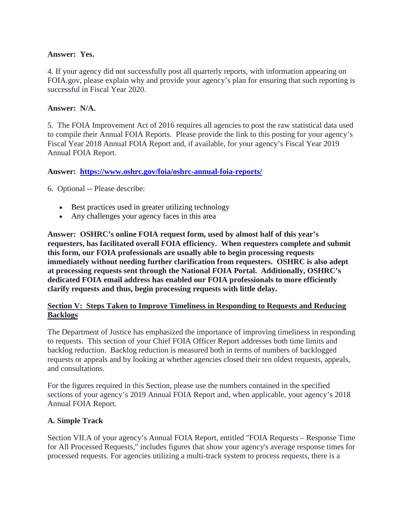### **Answer: Yes.**

4. If your agency did not successfully post all quarterly reports, with information appearing on FOIA.gov, please explain why and provide your agency's plan for ensuring that such reporting is successful in Fiscal Year 2020.

#### **Answer: N/A.**

5. The FOIA Improvement Act of 2016 requires all agencies to post the raw statistical data used to compile their Annual FOIA Reports. Please provide the link to this posting for your agency's Fiscal Year 2018 Annual FOIA Report and, if available, for your agency's Fiscal Year 2019 Annual FOIA Report.

### **Answer: <https://www.oshrc.gov/foia/oshrc-annual-foia-reports/>**

6. Optional -- Please describe:

- Best practices used in greater utilizing technology
- Any challenges your agency faces in this area

**Answer: OSHRC's online FOIA request form, used by almost half of this year's requesters, has facilitated overall FOIA efficiency. When requesters complete and submit this form, our FOIA professionals are usually able to begin processing requests immediately without needing further clarification from requesters. OSHRC is also adept at processing requests sent through the National FOIA Portal. Additionally, OSHRC's dedicated FOIA email address has enabled our FOIA professionals to more efficiently clarify requests and thus, begin processing requests with little delay.** 

## **Section V: Steps Taken to Improve Timeliness in Responding to Requests and Reducing Backlogs**

The Department of Justice has emphasized the importance of improving timeliness in responding to requests. This section of your Chief FOIA Officer Report addresses both time limits and backlog reduction. Backlog reduction is measured both in terms of numbers of backlogged requests or appeals and by looking at whether agencies closed their ten oldest requests, appeals, and consultations.

For the figures required in this Section, please use the numbers contained in the specified sections of your agency's 2019 Annual FOIA Report and, when applicable, your agency's 2018 Annual FOIA Report.

#### **A. Simple Track**

Section VII.A of your agency's Annual FOIA Report, entitled "FOIA Requests – Response Time for All Processed Requests," includes figures that show your agency's average response times for processed requests. For agencies utilizing a multi-track system to process requests, there is a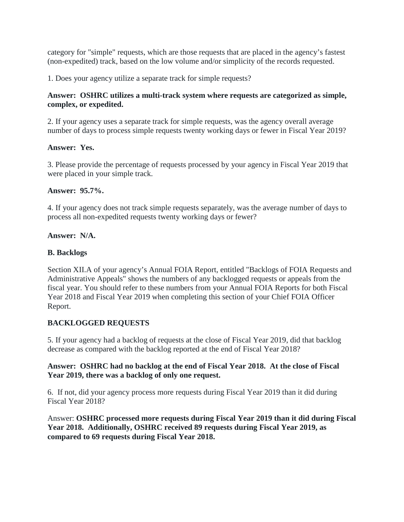category for "simple" requests, which are those requests that are placed in the agency's fastest (non-expedited) track, based on the low volume and/or simplicity of the records requested.

1. Does your agency utilize a separate track for simple requests?

### **Answer: OSHRC utilizes a multi-track system where requests are categorized as simple, complex, or expedited.**

2. If your agency uses a separate track for simple requests, was the agency overall average number of days to process simple requests twenty working days or fewer in Fiscal Year 2019?

### **Answer: Yes.**

3. Please provide the percentage of requests processed by your agency in Fiscal Year 2019 that were placed in your simple track.

### **Answer: 95.7%.**

4. If your agency does not track simple requests separately, was the average number of days to process all non-expedited requests twenty working days or fewer?

### **Answer: N/A.**

### **B. Backlogs**

Section XII.A of your agency's Annual FOIA Report, entitled "Backlogs of FOIA Requests and Administrative Appeals" shows the numbers of any backlogged requests or appeals from the fiscal year. You should refer to these numbers from your Annual FOIA Reports for both Fiscal Year 2018 and Fiscal Year 2019 when completing this section of your Chief FOIA Officer Report.

## **BACKLOGGED REQUESTS**

5. If your agency had a backlog of requests at the close of Fiscal Year 2019, did that backlog decrease as compared with the backlog reported at the end of Fiscal Year 2018?

### **Answer: OSHRC had no backlog at the end of Fiscal Year 2018. At the close of Fiscal Year 2019, there was a backlog of only one request.**

6. If not, did your agency process more requests during Fiscal Year 2019 than it did during Fiscal Year 2018?

Answer: **OSHRC processed more requests during Fiscal Year 2019 than it did during Fiscal Year 2018. Additionally, OSHRC received 89 requests during Fiscal Year 2019, as compared to 69 requests during Fiscal Year 2018.**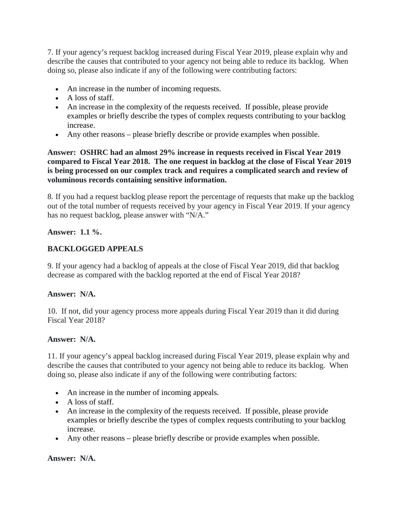7. If your agency's request backlog increased during Fiscal Year 2019, please explain why and describe the causes that contributed to your agency not being able to reduce its backlog. When doing so, please also indicate if any of the following were contributing factors:

- An increase in the number of incoming requests.
- A loss of staff.
- An increase in the complexity of the requests received. If possible, please provide examples or briefly describe the types of complex requests contributing to your backlog increase.
- Any other reasons please briefly describe or provide examples when possible.

## **Answer: OSHRC had an almost 29% increase in requests received in Fiscal Year 2019 compared to Fiscal Year 2018. The one request in backlog at the close of Fiscal Year 2019 is being processed on our complex track and requires a complicated search and review of voluminous records containing sensitive information.**

8. If you had a request backlog please report the percentage of requests that make up the backlog out of the total number of requests received by your agency in Fiscal Year 2019. If your agency has no request backlog, please answer with "N/A."

# **Answer: 1.1 %.**

# **BACKLOGGED APPEALS**

9. If your agency had a backlog of appeals at the close of Fiscal Year 2019, did that backlog decrease as compared with the backlog reported at the end of Fiscal Year 2018?

## **Answer: N/A.**

10. If not, did your agency process more appeals during Fiscal Year 2019 than it did during Fiscal Year 2018?

#### **Answer: N/A.**

11. If your agency's appeal backlog increased during Fiscal Year 2019, please explain why and describe the causes that contributed to your agency not being able to reduce its backlog. When doing so, please also indicate if any of the following were contributing factors:

- An increase in the number of incoming appeals.
- A loss of staff.
- An increase in the complexity of the requests received. If possible, please provide examples or briefly describe the types of complex requests contributing to your backlog increase.
- Any other reasons please briefly describe or provide examples when possible.

## **Answer: N/A.**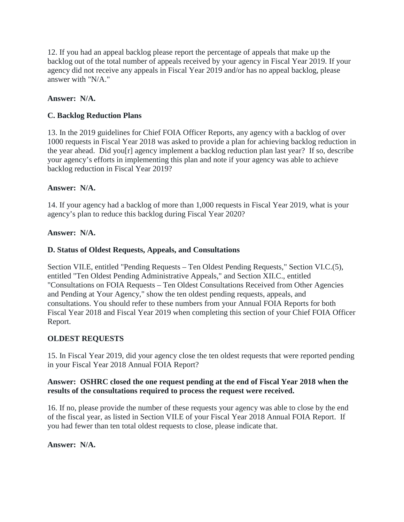12. If you had an appeal backlog please report the percentage of appeals that make up the backlog out of the total number of appeals received by your agency in Fiscal Year 2019. If your agency did not receive any appeals in Fiscal Year 2019 and/or has no appeal backlog, please answer with "N/A."

## **Answer: N/A.**

# **C. Backlog Reduction Plans**

13. In the 2019 guidelines for Chief FOIA Officer Reports, any agency with a backlog of over 1000 requests in Fiscal Year 2018 was asked to provide a plan for achieving backlog reduction in the year ahead. Did you[r] agency implement a backlog reduction plan last year? If so, describe your agency's efforts in implementing this plan and note if your agency was able to achieve backlog reduction in Fiscal Year 2019?

## **Answer: N/A.**

14. If your agency had a backlog of more than 1,000 requests in Fiscal Year 2019, what is your agency's plan to reduce this backlog during Fiscal Year 2020?

### **Answer: N/A.**

## **D. Status of Oldest Requests, Appeals, and Consultations**

Section VII.E, entitled "Pending Requests – Ten Oldest Pending Requests," Section VI.C.(5), entitled "Ten Oldest Pending Administrative Appeals," and Section XII.C., entitled "Consultations on FOIA Requests – Ten Oldest Consultations Received from Other Agencies and Pending at Your Agency," show the ten oldest pending requests, appeals, and consultations. You should refer to these numbers from your Annual FOIA Reports for both Fiscal Year 2018 and Fiscal Year 2019 when completing this section of your Chief FOIA Officer Report.

## **OLDEST REQUESTS**

15. In Fiscal Year 2019, did your agency close the ten oldest requests that were reported pending in your Fiscal Year 2018 Annual FOIA Report?

### **Answer: OSHRC closed the one request pending at the end of Fiscal Year 2018 when the results of the consultations required to process the request were received.**

16. If no, please provide the number of these requests your agency was able to close by the end of the fiscal year, as listed in Section VII.E of your Fiscal Year 2018 Annual FOIA Report. If you had fewer than ten total oldest requests to close, please indicate that.

**Answer: N/A.**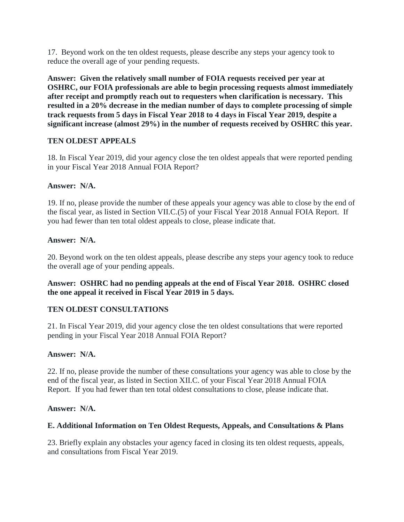17. Beyond work on the ten oldest requests, please describe any steps your agency took to reduce the overall age of your pending requests.

**Answer: Given the relatively small number of FOIA requests received per year at OSHRC, our FOIA professionals are able to begin processing requests almost immediately after receipt and promptly reach out to requesters when clarification is necessary. This resulted in a 20% decrease in the median number of days to complete processing of simple track requests from 5 days in Fiscal Year 2018 to 4 days in Fiscal Year 2019, despite a significant increase (almost 29%) in the number of requests received by OSHRC this year.**

## **TEN OLDEST APPEALS**

18. In Fiscal Year 2019, did your agency close the ten oldest appeals that were reported pending in your Fiscal Year 2018 Annual FOIA Report?

### **Answer: N/A.**

19. If no, please provide the number of these appeals your agency was able to close by the end of the fiscal year, as listed in Section VII.C.(5) of your Fiscal Year 2018 Annual FOIA Report. If you had fewer than ten total oldest appeals to close, please indicate that.

### **Answer: N/A.**

20. Beyond work on the ten oldest appeals, please describe any steps your agency took to reduce the overall age of your pending appeals.

## **Answer: OSHRC had no pending appeals at the end of Fiscal Year 2018. OSHRC closed the one appeal it received in Fiscal Year 2019 in 5 days.**

## **TEN OLDEST CONSULTATIONS**

21. In Fiscal Year 2019, did your agency close the ten oldest consultations that were reported pending in your Fiscal Year 2018 Annual FOIA Report?

#### **Answer: N/A.**

22. If no, please provide the number of these consultations your agency was able to close by the end of the fiscal year, as listed in Section XII.C. of your Fiscal Year 2018 Annual FOIA Report. If you had fewer than ten total oldest consultations to close, please indicate that.

#### **Answer: N/A.**

#### **E. Additional Information on Ten Oldest Requests, Appeals, and Consultations & Plans**

23. Briefly explain any obstacles your agency faced in closing its ten oldest requests, appeals, and consultations from Fiscal Year 2019.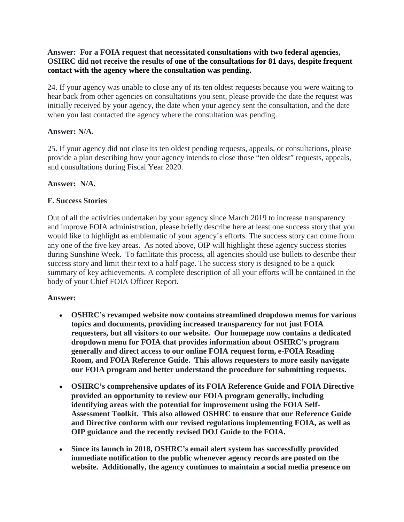### **Answer: For a FOIA request that necessitated consultations with two federal agencies, OSHRC did not receive the results of one of the consultations for 81 days, despite frequent contact with the agency where the consultation was pending.**

24. If your agency was unable to close any of its ten oldest requests because you were waiting to hear back from other agencies on consultations you sent, please provide the date the request was initially received by your agency, the date when your agency sent the consultation, and the date when you last contacted the agency where the consultation was pending.

## **Answer: N/A.**

25. If your agency did not close its ten oldest pending requests, appeals, or consultations, please provide a plan describing how your agency intends to close those "ten oldest" requests, appeals, and consultations during Fiscal Year 2020.

# **Answer: N/A.**

# **F. Success Stories**

Out of all the activities undertaken by your agency since March 2019 to increase transparency and improve FOIA administration, please briefly describe here at least one success story that you would like to highlight as emblematic of your agency's efforts. The success story can come from any one of the five key areas. As noted above, OIP will highlight these agency success stories during Sunshine Week. To facilitate this process, all agencies should use bullets to describe their success story and limit their text to a half page. The success story is designed to be a quick summary of key achievements. A complete description of all your efforts will be contained in the body of your Chief FOIA Officer Report.

## **Answer:**

- **OSHRC's revamped website now contains streamlined dropdown menus for various topics and documents, providing increased transparency for not just FOIA requesters, but all visitors to our website. Our homepage now contains a dedicated dropdown menu for FOIA that provides information about OSHRC's program generally and direct access to our online FOIA request form, e-FOIA Reading Room, and FOIA Reference Guide. This allows requesters to more easily navigate our FOIA program and better understand the procedure for submitting requests.**
- **OSHRC's comprehensive updates of its FOIA Reference Guide and FOIA Directive provided an opportunity to review our FOIA program generally, including identifying areas with the potential for improvement using the FOIA Self-Assessment Toolkit. This also allowed OSHRC to ensure that our Reference Guide and Directive conform with our revised regulations implementing FOIA, as well as OIP guidance and the recently revised DOJ Guide to the FOIA.**
- **Since its launch in 2018, OSHRC's email alert system has successfully provided immediate notification to the public whenever agency records are posted on the website. Additionally, the agency continues to maintain a social media presence on**